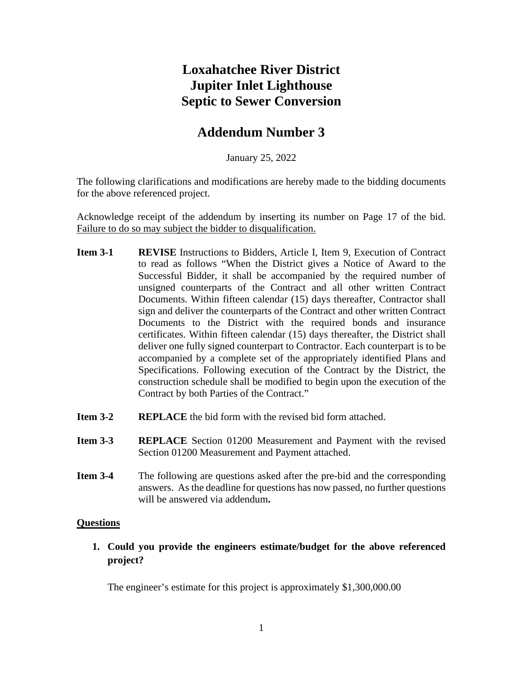# **Loxahatchee River District Jupiter Inlet Lighthouse Septic to Sewer Conversion**

# **Addendum Number 3**

January 25, 2022

The following clarifications and modifications are hereby made to the bidding documents for the above referenced project.

Acknowledge receipt of the addendum by inserting its number on Page 17 of the bid. Failure to do so may subject the bidder to disqualification.

- **Item 3-1 REVISE** Instructions to Bidders, Article I, Item 9, Execution of Contract to read as follows "When the District gives a Notice of Award to the Successful Bidder, it shall be accompanied by the required number of unsigned counterparts of the Contract and all other written Contract Documents. Within fifteen calendar (15) days thereafter, Contractor shall sign and deliver the counterparts of the Contract and other written Contract Documents to the District with the required bonds and insurance certificates. Within fifteen calendar (15) days thereafter, the District shall deliver one fully signed counterpart to Contractor. Each counterpart is to be accompanied by a complete set of the appropriately identified Plans and Specifications. Following execution of the Contract by the District, the construction schedule shall be modified to begin upon the execution of the Contract by both Parties of the Contract."
- **Item 3-2 REPLACE** the bid form with the revised bid form attached.
- **Item 3-3 REPLACE** Section 01200 Measurement and Payment with the revised Section 01200 Measurement and Payment attached.
- **Item 3-4** The following are questions asked after the pre-bid and the corresponding answers. As the deadline for questions has now passed, no further questions will be answered via addendum**.**

#### **Questions**

**1. Could you provide the engineers estimate/budget for the above referenced project?**

The engineer's estimate for this project is approximately \$1,300,000.00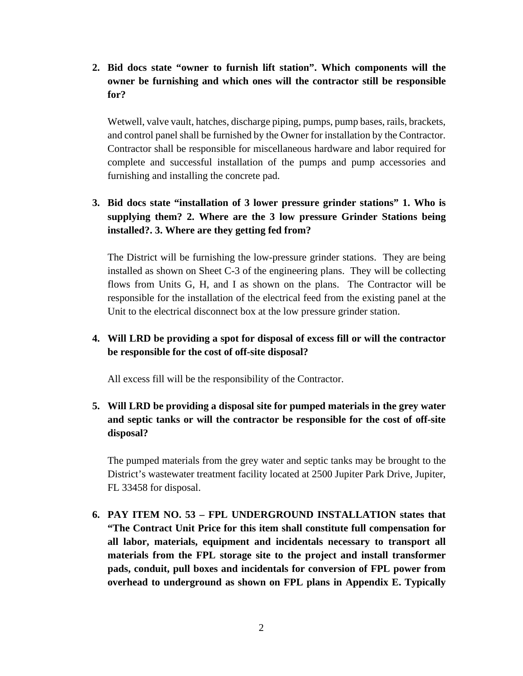**2. Bid docs state "owner to furnish lift station". Which components will the owner be furnishing and which ones will the contractor still be responsible for?**

Wetwell, valve vault, hatches, discharge piping, pumps, pump bases, rails, brackets, and control panel shall be furnished by the Owner for installation by the Contractor. Contractor shall be responsible for miscellaneous hardware and labor required for complete and successful installation of the pumps and pump accessories and furnishing and installing the concrete pad.

# **3. Bid docs state "installation of 3 lower pressure grinder stations" 1. Who is supplying them? 2. Where are the 3 low pressure Grinder Stations being installed?. 3. Where are they getting fed from?**

The District will be furnishing the low-pressure grinder stations. They are being installed as shown on Sheet C-3 of the engineering plans. They will be collecting flows from Units G, H, and I as shown on the plans. The Contractor will be responsible for the installation of the electrical feed from the existing panel at the Unit to the electrical disconnect box at the low pressure grinder station.

# **4. Will LRD be providing a spot for disposal of excess fill or will the contractor be responsible for the cost of off-site disposal?**

All excess fill will be the responsibility of the Contractor.

# **5. Will LRD be providing a disposal site for pumped materials in the grey water and septic tanks or will the contractor be responsible for the cost of off-site disposal?**

The pumped materials from the grey water and septic tanks may be brought to the District's wastewater treatment facility located at 2500 Jupiter Park Drive, Jupiter, FL 33458 for disposal.

**6. PAY ITEM NO. 53 – FPL UNDERGROUND INSTALLATION states that "The Contract Unit Price for this item shall constitute full compensation for all labor, materials, equipment and incidentals necessary to transport all materials from the FPL storage site to the project and install transformer pads, conduit, pull boxes and incidentals for conversion of FPL power from overhead to underground as shown on FPL plans in Appendix E. Typically**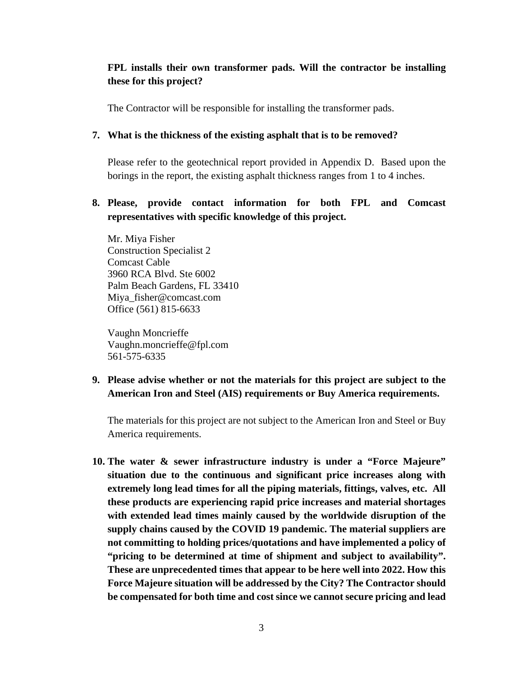# **FPL installs their own transformer pads. Will the contractor be installing these for this project?**

The Contractor will be responsible for installing the transformer pads.

#### **7. What is the thickness of the existing asphalt that is to be removed?**

Please refer to the geotechnical report provided in Appendix D. Based upon the borings in the report, the existing asphalt thickness ranges from 1 to 4 inches.

# **8. Please, provide contact information for both FPL and Comcast representatives with specific knowledge of this project.**

Mr. Miya Fisher Construction Specialist 2 Comcast Cable 3960 RCA Blvd. Ste 6002 Palm Beach Gardens, FL 33410 Miya\_fisher@comcast.com Office (561) 815-6633

Vaughn Moncrieffe Vaughn.moncrieffe@fpl.com 561-575-6335

**9. Please advise whether or not the materials for this project are subject to the American Iron and Steel (AIS) requirements or Buy America requirements.**

The materials for this project are not subject to the American Iron and Steel or Buy America requirements.

**10. The water & sewer infrastructure industry is under a "Force Majeure" situation due to the continuous and significant price increases along with extremely long lead times for all the piping materials, fittings, valves, etc. All these products are experiencing rapid price increases and material shortages with extended lead times mainly caused by the worldwide disruption of the supply chains caused by the COVID 19 pandemic. The material suppliers are not committing to holding prices/quotations and have implemented a policy of "pricing to be determined at time of shipment and subject to availability". These are unprecedented times that appear to be here well into 2022. How this Force Majeure situation will be addressed by the City? The Contractor should be compensated for both time and cost since we cannot secure pricing and lead**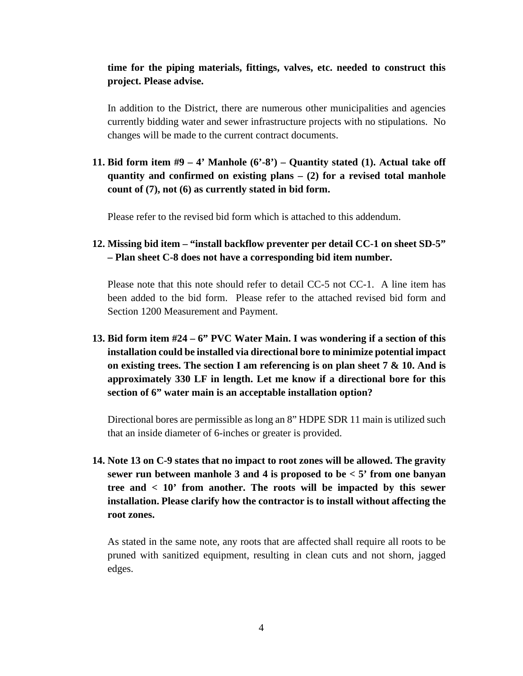# **time for the piping materials, fittings, valves, etc. needed to construct this project. Please advise.**

In addition to the District, there are numerous other municipalities and agencies currently bidding water and sewer infrastructure projects with no stipulations. No changes will be made to the current contract documents.

# **11. Bid form item #9 – 4' Manhole (6'-8') – Quantity stated (1). Actual take off quantity and confirmed on existing plans – (2) for a revised total manhole count of (7), not (6) as currently stated in bid form.**

Please refer to the revised bid form which is attached to this addendum.

# **12. Missing bid item – "install backflow preventer per detail CC-1 on sheet SD-5" – Plan sheet C-8 does not have a corresponding bid item number.**

Please note that this note should refer to detail CC-5 not CC-1. A line item has been added to the bid form. Please refer to the attached revised bid form and Section 1200 Measurement and Payment.

**13. Bid form item #24 – 6" PVC Water Main. I was wondering if a section of this installation could be installed via directional bore to minimize potential impact on existing trees. The section I am referencing is on plan sheet 7 & 10. And is approximately 330 LF in length. Let me know if a directional bore for this section of 6" water main is an acceptable installation option?**

Directional bores are permissible as long an 8" HDPE SDR 11 main is utilized such that an inside diameter of 6-inches or greater is provided.

**14. Note 13 on C-9 states that no impact to root zones will be allowed. The gravity sewer run between manhole 3 and 4 is proposed to be < 5' from one banyan tree and < 10' from another. The roots will be impacted by this sewer installation. Please clarify how the contractor is to install without affecting the root zones.**

As stated in the same note, any roots that are affected shall require all roots to be pruned with sanitized equipment, resulting in clean cuts and not shorn, jagged edges.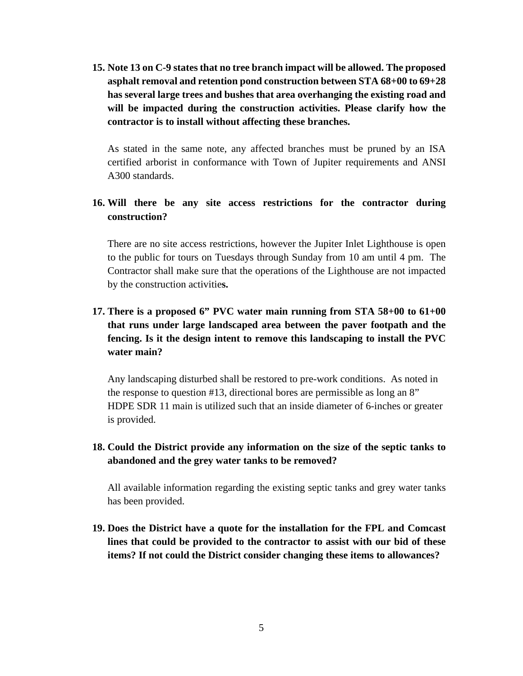**15. Note 13 on C-9 states that no tree branch impact will be allowed. The proposed asphalt removal and retention pond construction between STA 68+00 to 69+28 has several large trees and bushes that area overhanging the existing road and will be impacted during the construction activities. Please clarify how the contractor is to install without affecting these branches.**

As stated in the same note, any affected branches must be pruned by an ISA certified arborist in conformance with Town of Jupiter requirements and ANSI A300 standards.

# **16. Will there be any site access restrictions for the contractor during construction?**

There are no site access restrictions, however the Jupiter Inlet Lighthouse is open to the public for tours on Tuesdays through Sunday from 10 am until 4 pm. The Contractor shall make sure that the operations of the Lighthouse are not impacted by the construction activitie**s.**

# **17. There is a proposed 6" PVC water main running from STA 58+00 to 61+00 that runs under large landscaped area between the paver footpath and the fencing. Is it the design intent to remove this landscaping to install the PVC water main?**

Any landscaping disturbed shall be restored to pre-work conditions. As noted in the response to question #13, directional bores are permissible as long an 8" HDPE SDR 11 main is utilized such that an inside diameter of 6-inches or greater is provided.

# **18. Could the District provide any information on the size of the septic tanks to abandoned and the grey water tanks to be removed?**

All available information regarding the existing septic tanks and grey water tanks has been provided.

**19. Does the District have a quote for the installation for the FPL and Comcast lines that could be provided to the contractor to assist with our bid of these items? If not could the District consider changing these items to allowances?**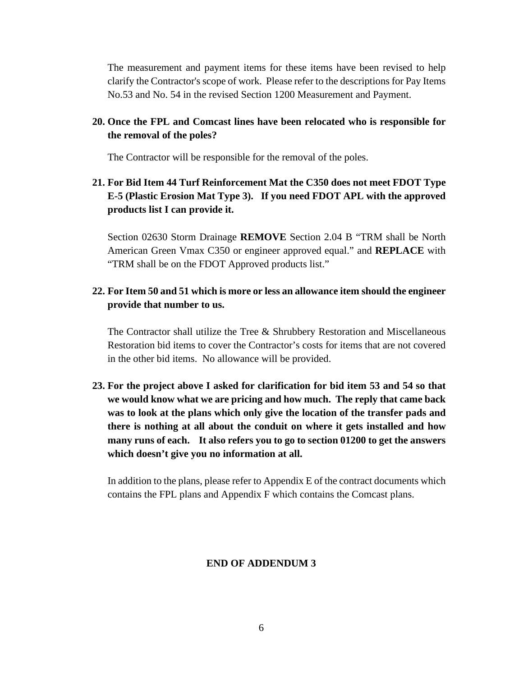The measurement and payment items for these items have been revised to help clarify the Contractor's scope of work. Please refer to the descriptions for Pay Items No.53 and No. 54 in the revised Section 1200 Measurement and Payment.

# **20. Once the FPL and Comcast lines have been relocated who is responsible for the removal of the poles?**

The Contractor will be responsible for the removal of the poles.

# **21. For Bid Item 44 Turf Reinforcement Mat the C350 does not meet FDOT Type E-5 (Plastic Erosion Mat Type 3). If you need FDOT APL with the approved products list I can provide it.**

Section 02630 Storm Drainage **REMOVE** Section 2.04 B "TRM shall be North American Green Vmax C350 or engineer approved equal." and **REPLACE** with "TRM shall be on the FDOT Approved products list."

# **22. For Item 50 and 51 which is more or less an allowance item should the engineer provide that number to us.**

The Contractor shall utilize the Tree & Shrubbery Restoration and Miscellaneous Restoration bid items to cover the Contractor's costs for items that are not covered in the other bid items. No allowance will be provided.

**23. For the project above I asked for clarification for bid item 53 and 54 so that we would know what we are pricing and how much. The reply that came back was to look at the plans which only give the location of the transfer pads and there is nothing at all about the conduit on where it gets installed and how many runs of each. It also refers you to go to section 01200 to get the answers which doesn't give you no information at all.** 

In addition to the plans, please refer to Appendix E of the contract documents which contains the FPL plans and Appendix F which contains the Comcast plans.

# **END OF ADDENDUM 3**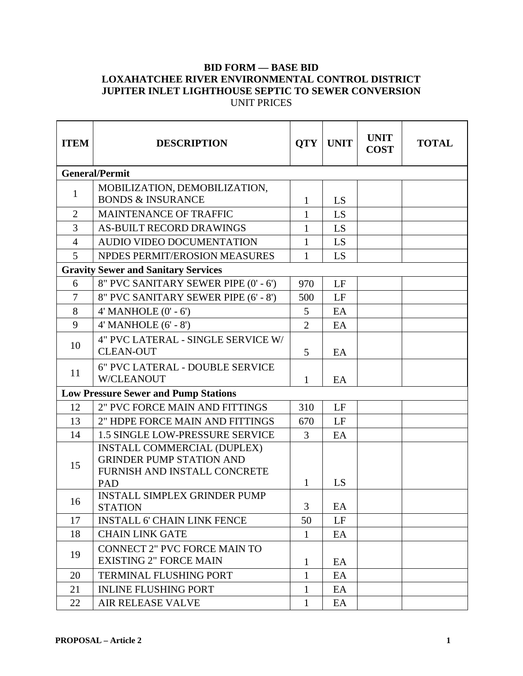# **BID FORM — BASE BID LOXAHATCHEE RIVER ENVIRONMENTAL CONTROL DISTRICT JUPITER INLET LIGHTHOUSE SEPTIC TO SEWER CONVERSION** UNIT PRICES

| <b>ITEM</b>    | <b>DESCRIPTION</b>                                                                                           | <b>QTY</b>     | <b>UNIT</b> | <b>UNIT</b><br><b>COST</b> | <b>TOTAL</b> |
|----------------|--------------------------------------------------------------------------------------------------------------|----------------|-------------|----------------------------|--------------|
|                | <b>General/Permit</b>                                                                                        |                |             |                            |              |
| 1              | MOBILIZATION, DEMOBILIZATION,<br><b>BONDS &amp; INSURANCE</b>                                                | 1              | LS          |                            |              |
| $\overline{2}$ | <b>MAINTENANCE OF TRAFFIC</b>                                                                                | $\mathbf{1}$   | LS          |                            |              |
| 3              | <b>AS-BUILT RECORD DRAWINGS</b>                                                                              | 1              | LS          |                            |              |
| $\overline{4}$ | AUDIO VIDEO DOCUMENTATION                                                                                    | $\mathbf{1}$   | LS.         |                            |              |
| 5              | NPDES PERMIT/EROSION MEASURES                                                                                | 1              | LS          |                            |              |
|                | <b>Gravity Sewer and Sanitary Services</b>                                                                   |                |             |                            |              |
| 6              | 8" PVC SANITARY SEWER PIPE (0' - 6')                                                                         | 970            | LF          |                            |              |
| $\tau$         | 8" PVC SANITARY SEWER PIPE (6' - 8')                                                                         | 500            | LF          |                            |              |
| 8              | $4'$ MANHOLE $(0' - 6')$                                                                                     | 5              | EA          |                            |              |
| 9              | $4'$ MANHOLE $(6' - 8')$                                                                                     | $\overline{2}$ | EA          |                            |              |
| 10             | 4" PVC LATERAL - SINGLE SERVICE W/<br><b>CLEAN-OUT</b>                                                       | 5              | EA          |                            |              |
| 11             | 6" PVC LATERAL - DOUBLE SERVICE<br><b>W/CLEANOUT</b>                                                         | 1              | EA          |                            |              |
|                | <b>Low Pressure Sewer and Pump Stations</b>                                                                  |                |             |                            |              |
| 12             | 2" PVC FORCE MAIN AND FITTINGS                                                                               | 310            | LF          |                            |              |
| 13             | 2" HDPE FORCE MAIN AND FITTINGS                                                                              | 670            | LF          |                            |              |
| 14             | 1.5 SINGLE LOW-PRESSURE SERVICE                                                                              | 3              | EA          |                            |              |
| 15             | <b>INSTALL COMMERCIAL (DUPLEX)</b><br><b>GRINDER PUMP STATION AND</b><br>FURNISH AND INSTALL CONCRETE<br>PAD | $\mathbf{1}$   | LS          |                            |              |
| 16             | <b>INSTALL SIMPLEX GRINDER PUMP</b><br><b>STATION</b>                                                        | 3              | $\rm EA$    |                            |              |
| 17             | <b>INSTALL 6' CHAIN LINK FENCE</b>                                                                           | 50             | LF          |                            |              |
| 18             | <b>CHAIN LINK GATE</b>                                                                                       | $\mathbf{1}$   | EA          |                            |              |
| 19             | <b>CONNECT 2" PVC FORCE MAIN TO</b><br><b>EXISTING 2" FORCE MAIN</b>                                         | $\mathbf{1}$   | EA          |                            |              |
| 20             | TERMINAL FLUSHING PORT                                                                                       | $\mathbf{1}$   | EA          |                            |              |
| 21             | <b>INLINE FLUSHING PORT</b>                                                                                  | $\mathbf{1}$   | EA          |                            |              |
| 22             | AIR RELEASE VALVE                                                                                            | $\mathbf{1}$   | EA          |                            |              |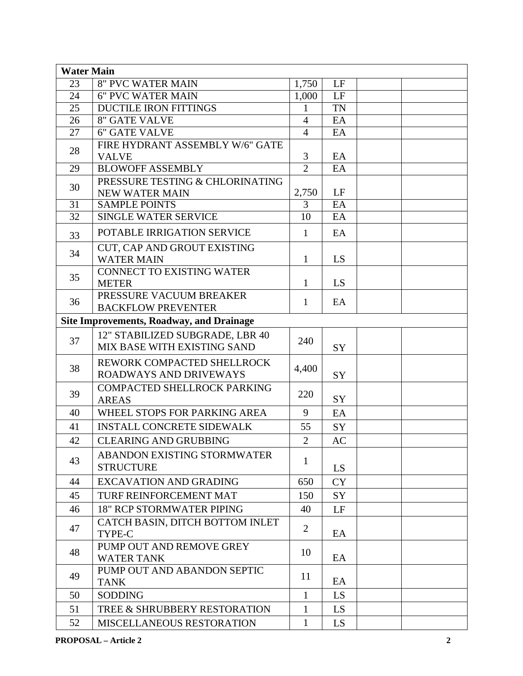| <b>Water Main</b> |                                                                |                |           |  |
|-------------------|----------------------------------------------------------------|----------------|-----------|--|
| 23                | <b>8" PVC WATER MAIN</b>                                       | 1,750          | LF        |  |
| 24                | <b>6" PVC WATER MAIN</b>                                       | 1,000          | LF        |  |
| $\overline{25}$   | <b>DUCTILE IRON FITTINGS</b>                                   | 1              | <b>TN</b> |  |
| 26                | <b>8" GATE VALVE</b>                                           | $\overline{4}$ | EA        |  |
| 27                | <b>6" GATE VALVE</b>                                           | $\overline{4}$ | EA        |  |
| 28                | FIRE HYDRANT ASSEMBLY W/6" GATE<br><b>VALVE</b>                | 3              | EA        |  |
| 29                | <b>BLOWOFF ASSEMBLY</b>                                        | $\overline{2}$ | EA        |  |
| 30                | PRESSURE TESTING & CHLORINATING<br><b>NEW WATER MAIN</b>       | 2,750          | LF        |  |
| 31                | <b>SAMPLE POINTS</b>                                           | 3              | EA        |  |
| $\overline{32}$   | <b>SINGLE WATER SERVICE</b>                                    | 10             | EA        |  |
| 33                | POTABLE IRRIGATION SERVICE                                     | $\mathbf{1}$   | EA        |  |
| 34                | CUT, CAP AND GROUT EXISTING<br><b>WATER MAIN</b>               | 1              | LS        |  |
| 35                | <b>CONNECT TO EXISTING WATER</b><br><b>METER</b>               | $\mathbf{1}$   | LS        |  |
| 36                | PRESSURE VACUUM BREAKER<br><b>BACKFLOW PREVENTER</b>           | 1              | EA        |  |
|                   | <b>Site Improvements, Roadway, and Drainage</b>                |                |           |  |
| 37                | 12" STABILIZED SUBGRADE, LBR 40<br>MIX BASE WITH EXISTING SAND | 240            | SY        |  |
| 38                | REWORK COMPACTED SHELLROCK<br><b>ROADWAYS AND DRIVEWAYS</b>    | 4,400          | SY        |  |
| 39                | COMPACTED SHELLROCK PARKING<br><b>AREAS</b>                    | 220            | SY        |  |
| 40                | WHEEL STOPS FOR PARKING AREA                                   | 9              | EA        |  |
| 41                | <b>INSTALL CONCRETE SIDEWALK</b>                               | 55             | SY        |  |
| 42                | <b>CLEARING AND GRUBBING</b>                                   | $\overline{2}$ | <b>AC</b> |  |
| 43                | ABANDON EXISTING STORMWATER<br><b>STRUCTURE</b>                | $\mathbf{1}$   | LS        |  |
| 44                | <b>EXCAVATION AND GRADING</b>                                  | 650            | <b>CY</b> |  |
| 45                | TURF REINFORCEMENT MAT                                         | 150            | <b>SY</b> |  |
| 46                | <b>18" RCP STORMWATER PIPING</b>                               | 40             | LF        |  |
| 47                | CATCH BASIN, DITCH BOTTOM INLET<br>TYPE-C                      | $\overline{2}$ | EA        |  |
| 48                | PUMP OUT AND REMOVE GREY<br><b>WATER TANK</b>                  | 10             | EA        |  |
| 49                | PUMP OUT AND ABANDON SEPTIC<br><b>TANK</b>                     | 11             | EA        |  |
| 50                | <b>SODDING</b>                                                 | $\mathbf{1}$   | LS.       |  |
| 51                | TREE & SHRUBBERY RESTORATION                                   | 1              | LS        |  |
| 52                | MISCELLANEOUS RESTORATION                                      | $\mathbf{1}$   | LS        |  |
|                   |                                                                |                |           |  |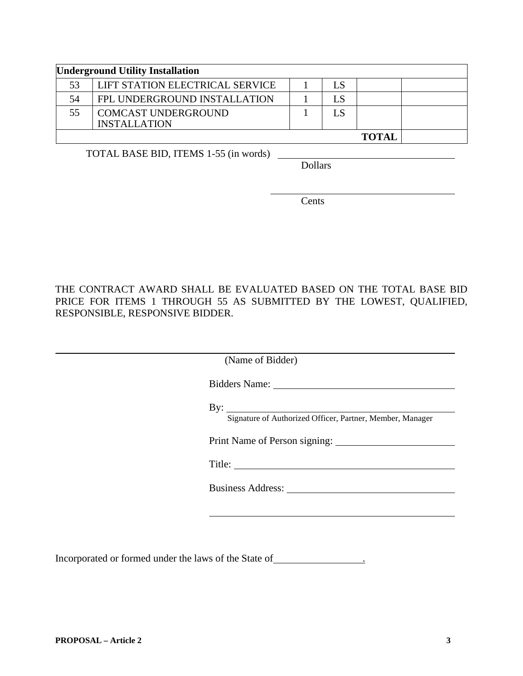|    | <b>Underground Utility Installation</b>           |    |              |  |
|----|---------------------------------------------------|----|--------------|--|
| 53 | <b>LIFT STATION ELECTRICAL SERVICE</b>            | LS |              |  |
| 54 | FPL UNDERGROUND INSTALLATION                      | LS |              |  |
| 55 | <b>COMCAST UNDERGROUND</b><br><b>INSTALLATION</b> | LS |              |  |
|    |                                                   |    | <b>TOTAL</b> |  |

TOTAL BASE BID, ITEMS 1-55 (in words)

Dollars

Cents

THE CONTRACT AWARD SHALL BE EVALUATED BASED ON THE TOTAL BASE BID PRICE FOR ITEMS 1 THROUGH 55 AS SUBMITTED BY THE LOWEST, QUALIFIED, RESPONSIBLE, RESPONSIVE BIDDER.

| (Name of Bidder)                                                                       |  |
|----------------------------------------------------------------------------------------|--|
|                                                                                        |  |
| $\mathbf{B} \mathbf{y}$ :<br>Signature of Authorized Officer, Partner, Member, Manager |  |
|                                                                                        |  |
|                                                                                        |  |
|                                                                                        |  |
|                                                                                        |  |
|                                                                                        |  |

Incorporated or formed under the laws of the State of  $\overline{\phantom{a}}$ .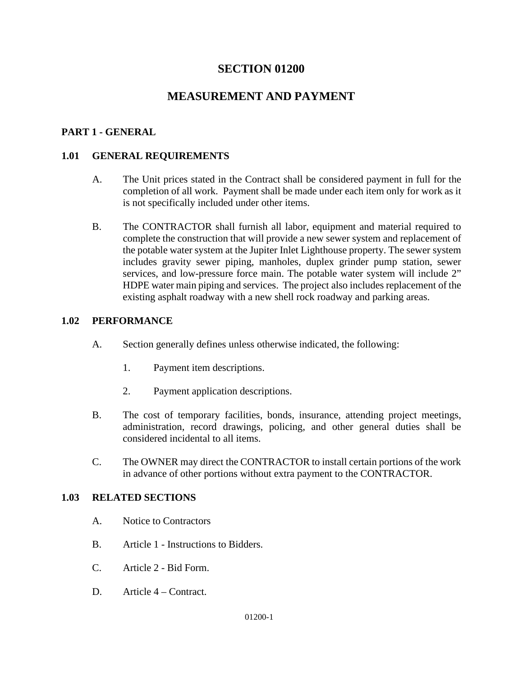# **SECTION 01200**

# **MEASUREMENT AND PAYMENT**

### **PART 1 - GENERAL**

### **1.01 GENERAL REQUIREMENTS**

- A. The Unit prices stated in the Contract shall be considered payment in full for the completion of all work. Payment shall be made under each item only for work as it is not specifically included under other items.
- B. The CONTRACTOR shall furnish all labor, equipment and material required to complete the construction that will provide a new sewer system and replacement of the potable water system at the Jupiter Inlet Lighthouse property. The sewer system includes gravity sewer piping, manholes, duplex grinder pump station, sewer services, and low-pressure force main. The potable water system will include 2" HDPE water main piping and services. The project also includes replacement of the existing asphalt roadway with a new shell rock roadway and parking areas.

### **1.02 PERFORMANCE**

- A. Section generally defines unless otherwise indicated, the following:
	- 1. Payment item descriptions.
	- 2. Payment application descriptions.
- B. The cost of temporary facilities, bonds, insurance, attending project meetings, administration, record drawings, policing, and other general duties shall be considered incidental to all items.
- C. The OWNER may direct the CONTRACTOR to install certain portions of the work in advance of other portions without extra payment to the CONTRACTOR.

#### **1.03 RELATED SECTIONS**

- A. Notice to Contractors
- B. Article 1 Instructions to Bidders.
- C. Article 2 Bid Form.
- D. Article 4 Contract.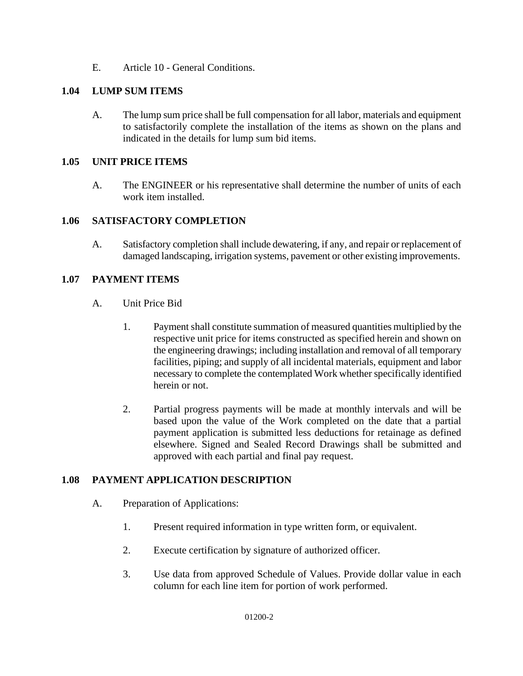E. Article 10 - General Conditions.

### **1.04 LUMP SUM ITEMS**

A. The lump sum price shall be full compensation for all labor, materials and equipment to satisfactorily complete the installation of the items as shown on the plans and indicated in the details for lump sum bid items.

### **1.05 UNIT PRICE ITEMS**

A. The ENGINEER or his representative shall determine the number of units of each work item installed.

#### **1.06 SATISFACTORY COMPLETION**

A. Satisfactory completion shall include dewatering, if any, and repair or replacement of damaged landscaping, irrigation systems, pavement or other existing improvements.

#### **1.07 PAYMENT ITEMS**

- A. Unit Price Bid
	- 1. Payment shall constitute summation of measured quantities multiplied by the respective unit price for items constructed as specified herein and shown on the engineering drawings; including installation and removal of all temporary facilities, piping; and supply of all incidental materials, equipment and labor necessary to complete the contemplated Work whether specifically identified herein or not.
	- 2. Partial progress payments will be made at monthly intervals and will be based upon the value of the Work completed on the date that a partial payment application is submitted less deductions for retainage as defined elsewhere. Signed and Sealed Record Drawings shall be submitted and approved with each partial and final pay request.

#### **1.08 PAYMENT APPLICATION DESCRIPTION**

- A. Preparation of Applications:
	- 1. Present required information in type written form, or equivalent.
	- 2. Execute certification by signature of authorized officer.
	- 3. Use data from approved Schedule of Values. Provide dollar value in each column for each line item for portion of work performed.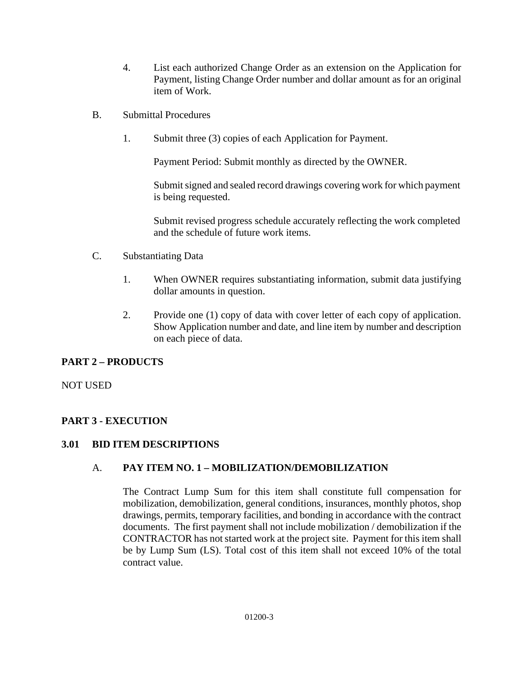- 4. List each authorized Change Order as an extension on the Application for Payment, listing Change Order number and dollar amount as for an original item of Work.
- B. Submittal Procedures
	- 1. Submit three (3) copies of each Application for Payment.

Payment Period: Submit monthly as directed by the OWNER.

Submit signed and sealed record drawings covering work for which payment is being requested.

Submit revised progress schedule accurately reflecting the work completed and the schedule of future work items.

- C. Substantiating Data
	- 1. When OWNER requires substantiating information, submit data justifying dollar amounts in question.
	- 2. Provide one (1) copy of data with cover letter of each copy of application. Show Application number and date, and line item by number and description on each piece of data.

# **PART 2 – PRODUCTS**

NOT USED

# **PART 3 - EXECUTION**

# **3.01 BID ITEM DESCRIPTIONS**

# A. **PAY ITEM NO. 1 – MOBILIZATION/DEMOBILIZATION**

The Contract Lump Sum for this item shall constitute full compensation for mobilization, demobilization, general conditions, insurances, monthly photos, shop drawings, permits, temporary facilities, and bonding in accordance with the contract documents. The first payment shall not include mobilization / demobilization if the CONTRACTOR has not started work at the project site. Payment for this item shall be by Lump Sum (LS). Total cost of this item shall not exceed 10% of the total contract value.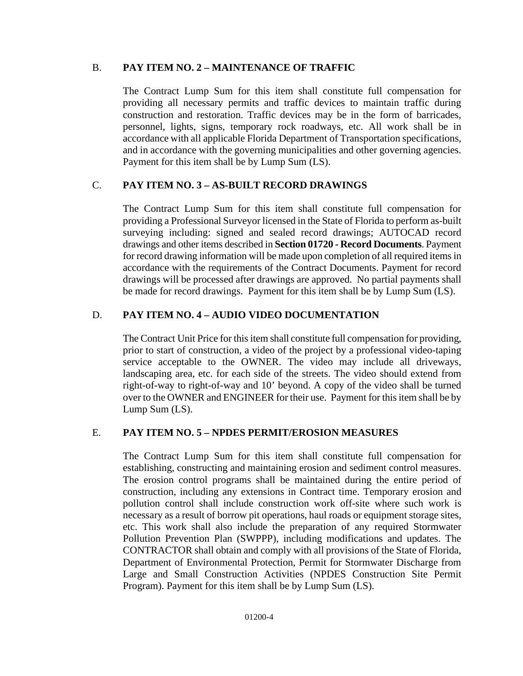# B. **PAY ITEM NO. 2 – MAINTENANCE OF TRAFFIC**

The Contract Lump Sum for this item shall constitute full compensation for providing all necessary permits and traffic devices to maintain traffic during construction and restoration. Traffic devices may be in the form of barricades, personnel, lights, signs, temporary rock roadways, etc. All work shall be in accordance with all applicable Florida Department of Transportation specifications, and in accordance with the governing municipalities and other governing agencies. Payment for this item shall be by Lump Sum (LS).

# C. **PAY ITEM NO. 3 – AS-BUILT RECORD DRAWINGS**

The Contract Lump Sum for this item shall constitute full compensation for providing a Professional Surveyor licensed in the State of Florida to perform as-built surveying including: signed and sealed record drawings; AUTOCAD record drawings and other items described in **Section 01720 - Record Documents**. Payment for record drawing information will be made upon completion of all required itemsin accordance with the requirements of the Contract Documents. Payment for record drawings will be processed after drawings are approved. No partial payments shall be made for record drawings. Payment for this item shall be by Lump Sum (LS).

# D. **PAY ITEM NO. 4 – AUDIO VIDEO DOCUMENTATION**

The Contract Unit Price for this item shall constitute full compensation for providing, prior to start of construction, a video of the project by a professional video-taping service acceptable to the OWNER. The video may include all driveways, landscaping area, etc. for each side of the streets. The video should extend from right-of-way to right-of-way and 10' beyond. A copy of the video shall be turned over to the OWNER and ENGINEER for their use. Payment for thisitem shall be by Lump Sum (LS).

# E. **PAY ITEM NO. 5 – NPDES PERMIT/EROSION MEASURES**

The Contract Lump Sum for this item shall constitute full compensation for establishing, constructing and maintaining erosion and sediment control measures. The erosion control programs shall be maintained during the entire period of construction, including any extensions in Contract time. Temporary erosion and pollution control shall include construction work off-site where such work is necessary as a result of borrow pit operations, haul roads or equipment storage sites, etc. This work shall also include the preparation of any required Stormwater Pollution Prevention Plan (SWPPP), including modifications and updates. The CONTRACTOR shall obtain and comply with all provisions of the State of Florida, Department of Environmental Protection, Permit for Stormwater Discharge from Large and Small Construction Activities (NPDES Construction Site Permit Program). Payment for this item shall be by Lump Sum (LS).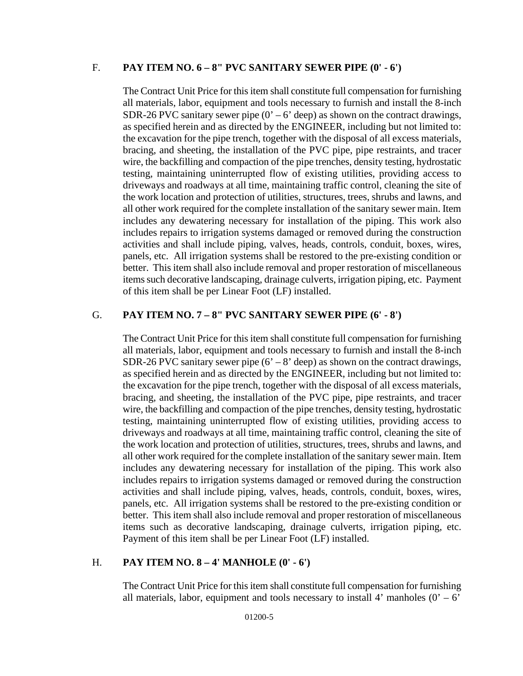#### F. **PAY ITEM NO. 6 – 8" PVC SANITARY SEWER PIPE (0' - 6')**

The Contract Unit Price for this item shall constitute full compensation for furnishing all materials, labor, equipment and tools necessary to furnish and install the 8-inch SDR-26 PVC sanitary sewer pipe  $(0' - 6'$  deep) as shown on the contract drawings, as specified herein and as directed by the ENGINEER, including but not limited to: the excavation for the pipe trench, together with the disposal of all excess materials, bracing, and sheeting, the installation of the PVC pipe, pipe restraints, and tracer wire, the backfilling and compaction of the pipe trenches, density testing, hydrostatic testing, maintaining uninterrupted flow of existing utilities, providing access to driveways and roadways at all time, maintaining traffic control, cleaning the site of the work location and protection of utilities, structures, trees, shrubs and lawns, and all other work required for the complete installation of the sanitary sewer main. Item includes any dewatering necessary for installation of the piping. This work also includes repairs to irrigation systems damaged or removed during the construction activities and shall include piping, valves, heads, controls, conduit, boxes, wires, panels, etc. All irrigation systems shall be restored to the pre-existing condition or better. This item shall also include removal and proper restoration of miscellaneous items such decorative landscaping, drainage culverts, irrigation piping, etc. Payment of this item shall be per Linear Foot (LF) installed.

#### G. **PAY ITEM NO. 7 – 8" PVC SANITARY SEWER PIPE (6' - 8')**

The Contract Unit Price for this item shall constitute full compensation for furnishing all materials, labor, equipment and tools necessary to furnish and install the 8-inch SDR-26 PVC sanitary sewer pipe  $(6' – 8'$  deep) as shown on the contract drawings, as specified herein and as directed by the ENGINEER, including but not limited to: the excavation for the pipe trench, together with the disposal of all excess materials, bracing, and sheeting, the installation of the PVC pipe, pipe restraints, and tracer wire, the backfilling and compaction of the pipe trenches, density testing, hydrostatic testing, maintaining uninterrupted flow of existing utilities, providing access to driveways and roadways at all time, maintaining traffic control, cleaning the site of the work location and protection of utilities, structures, trees, shrubs and lawns, and all other work required for the complete installation of the sanitary sewer main. Item includes any dewatering necessary for installation of the piping. This work also includes repairs to irrigation systems damaged or removed during the construction activities and shall include piping, valves, heads, controls, conduit, boxes, wires, panels, etc. All irrigation systems shall be restored to the pre-existing condition or better. This item shall also include removal and proper restoration of miscellaneous items such as decorative landscaping, drainage culverts, irrigation piping, etc. Payment of this item shall be per Linear Foot (LF) installed.

#### H. **PAY ITEM NO. 8 – 4' MANHOLE (0' - 6')**

The Contract Unit Price for this item shall constitute full compensation for furnishing all materials, labor, equipment and tools necessary to install 4' manholes  $(0' - 6)'$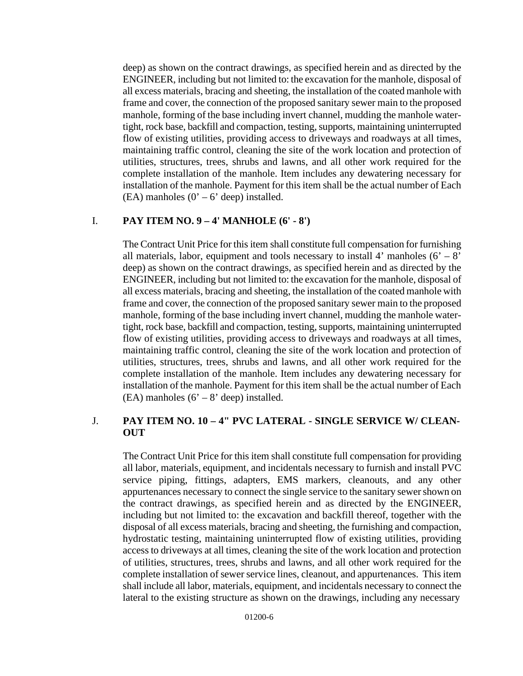deep) as shown on the contract drawings, as specified herein and as directed by the ENGINEER, including but not limited to: the excavation for the manhole, disposal of all excess materials, bracing and sheeting, the installation of the coated manhole with frame and cover, the connection of the proposed sanitary sewer main to the proposed manhole, forming of the base including invert channel, mudding the manhole watertight, rock base, backfill and compaction, testing, supports, maintaining uninterrupted flow of existing utilities, providing access to driveways and roadways at all times, maintaining traffic control, cleaning the site of the work location and protection of utilities, structures, trees, shrubs and lawns, and all other work required for the complete installation of the manhole. Item includes any dewatering necessary for installation of the manhole. Payment for this item shall be the actual number of Each (EA) manholes  $(0' – 6'$  deep) installed.

### I. **PAY ITEM NO. 9 – 4' MANHOLE (6' - 8')**

The Contract Unit Price for this item shall constitute full compensation for furnishing all materials, labor, equipment and tools necessary to install 4' manholes  $(6' - 8)'$ deep) as shown on the contract drawings, as specified herein and as directed by the ENGINEER, including but not limited to: the excavation for the manhole, disposal of all excess materials, bracing and sheeting, the installation of the coated manhole with frame and cover, the connection of the proposed sanitary sewer main to the proposed manhole, forming of the base including invert channel, mudding the manhole watertight, rock base, backfill and compaction, testing, supports, maintaining uninterrupted flow of existing utilities, providing access to driveways and roadways at all times, maintaining traffic control, cleaning the site of the work location and protection of utilities, structures, trees, shrubs and lawns, and all other work required for the complete installation of the manhole. Item includes any dewatering necessary for installation of the manhole. Payment for this item shall be the actual number of Each (EA) manholes  $(6' – 8'$  deep) installed.

### J. **PAY ITEM NO. 10 – 4" PVC LATERAL - SINGLE SERVICE W/ CLEAN-OUT**

The Contract Unit Price for this item shall constitute full compensation for providing all labor, materials, equipment, and incidentals necessary to furnish and install PVC service piping, fittings, adapters, EMS markers, cleanouts, and any other appurtenances necessary to connect the single service to the sanitary sewershown on the contract drawings, as specified herein and as directed by the ENGINEER, including but not limited to: the excavation and backfill thereof, together with the disposal of all excess materials, bracing and sheeting, the furnishing and compaction, hydrostatic testing, maintaining uninterrupted flow of existing utilities, providing accessto driveways at all times, cleaning the site of the work location and protection of utilities, structures, trees, shrubs and lawns, and all other work required for the complete installation of sewer service lines, cleanout, and appurtenances. This item shall include all labor, materials, equipment, and incidentals necessary to connect the lateral to the existing structure as shown on the drawings, including any necessary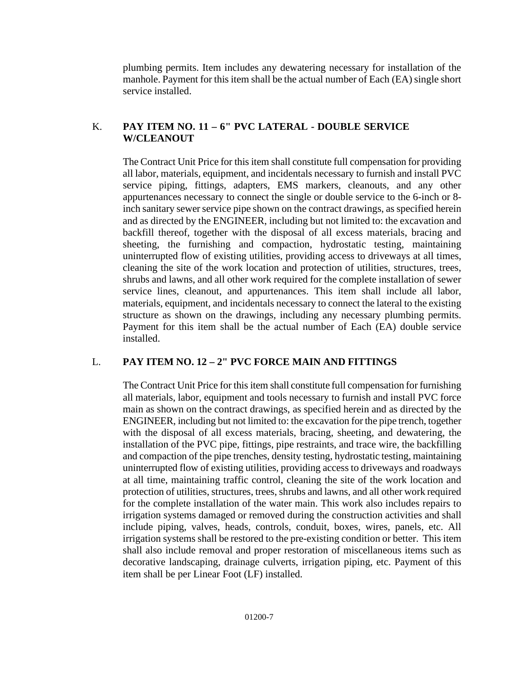plumbing permits. Item includes any dewatering necessary for installation of the manhole. Payment for this item shall be the actual number of Each (EA) single short service installed.

# K. **PAY ITEM NO. 11 – 6" PVC LATERAL - DOUBLE SERVICE W/CLEANOUT**

The Contract Unit Price for this item shall constitute full compensation for providing all labor, materials, equipment, and incidentals necessary to furnish and install PVC service piping, fittings, adapters, EMS markers, cleanouts, and any other appurtenances necessary to connect the single or double service to the 6-inch or 8 inch sanitary sewer service pipe shown on the contract drawings, as specified herein and as directed by the ENGINEER, including but not limited to: the excavation and backfill thereof, together with the disposal of all excess materials, bracing and sheeting, the furnishing and compaction, hydrostatic testing, maintaining uninterrupted flow of existing utilities, providing access to driveways at all times, cleaning the site of the work location and protection of utilities, structures, trees, shrubs and lawns, and all other work required for the complete installation of sewer service lines, cleanout, and appurtenances. This item shall include all labor, materials, equipment, and incidentals necessary to connect the lateral to the existing structure as shown on the drawings, including any necessary plumbing permits. Payment for this item shall be the actual number of Each (EA) double service installed.

# L. **PAY ITEM NO. 12 – 2" PVC FORCE MAIN AND FITTINGS**

The Contract Unit Price for this item shall constitute full compensation for furnishing all materials, labor, equipment and tools necessary to furnish and install PVC force main as shown on the contract drawings, as specified herein and as directed by the ENGINEER, including but not limited to: the excavation for the pipe trench, together with the disposal of all excess materials, bracing, sheeting, and dewatering, the installation of the PVC pipe, fittings, pipe restraints, and trace wire, the backfilling and compaction of the pipe trenches, density testing, hydrostatic testing, maintaining uninterrupted flow of existing utilities, providing access to driveways and roadways at all time, maintaining traffic control, cleaning the site of the work location and protection of utilities, structures, trees, shrubs and lawns, and all other work required for the complete installation of the water main. This work also includes repairs to irrigation systems damaged or removed during the construction activities and shall include piping, valves, heads, controls, conduit, boxes, wires, panels, etc. All irrigation systems shall be restored to the pre-existing condition or better. This item shall also include removal and proper restoration of miscellaneous items such as decorative landscaping, drainage culverts, irrigation piping, etc. Payment of this item shall be per Linear Foot (LF) installed.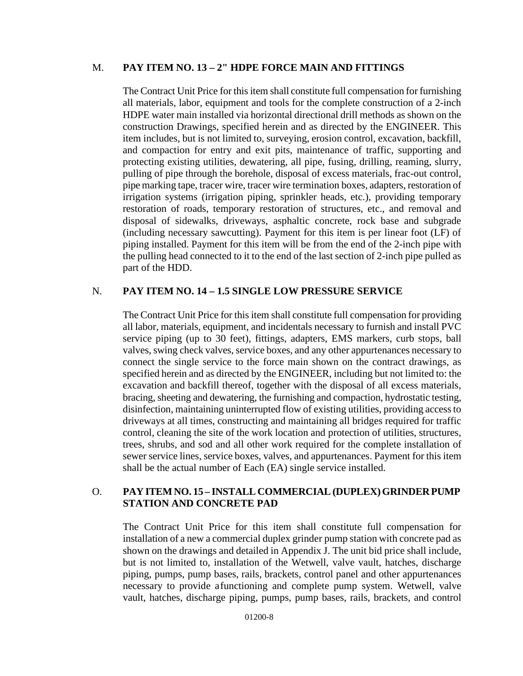#### M. **PAY ITEM NO. 13 – 2" HDPE FORCE MAIN AND FITTINGS**

The Contract Unit Price for this item shall constitute full compensation for furnishing all materials, labor, equipment and tools for the complete construction of a 2-inch HDPE water main installed via horizontal directional drill methods as shown on the construction Drawings, specified herein and as directed by the ENGINEER. This item includes, but is not limited to, surveying, erosion control, excavation, backfill, and compaction for entry and exit pits, maintenance of traffic, supporting and protecting existing utilities, dewatering, all pipe, fusing, drilling, reaming, slurry, pulling of pipe through the borehole, disposal of excess materials, frac-out control, pipe marking tape, tracer wire, tracer wire termination boxes, adapters, restoration of irrigation systems (irrigation piping, sprinkler heads, etc.), providing temporary restoration of roads, temporary restoration of structures, etc., and removal and disposal of sidewalks, driveways, asphaltic concrete, rock base and subgrade (including necessary sawcutting). Payment for this item is per linear foot (LF) of piping installed. Payment for this item will be from the end of the 2-inch pipe with the pulling head connected to it to the end of the last section of 2-inch pipe pulled as part of the HDD.

### N. **PAY ITEM NO. 14 – 1.5 SINGLE LOW PRESSURE SERVICE**

The Contract Unit Price for this item shall constitute full compensation for providing all labor, materials, equipment, and incidentals necessary to furnish and install PVC service piping (up to 30 feet), fittings, adapters, EMS markers, curb stops, ball valves, swing check valves, service boxes, and any other appurtenances necessary to connect the single service to the force main shown on the contract drawings, as specified herein and as directed by the ENGINEER, including but not limited to: the excavation and backfill thereof, together with the disposal of all excess materials, bracing, sheeting and dewatering, the furnishing and compaction, hydrostatic testing, disinfection, maintaining uninterrupted flow of existing utilities, providing accessto driveways at all times, constructing and maintaining all bridges required for traffic control, cleaning the site of the work location and protection of utilities, structures, trees, shrubs, and sod and all other work required for the complete installation of sewer service lines, service boxes, valves, and appurtenances. Payment for this item shall be the actual number of Each (EA) single service installed.

### O. **PAY ITEMNO. 15 – INSTALL COMMERCIAL(DUPLEX)GRINDERPUMP STATION AND CONCRETE PAD**

The Contract Unit Price for this item shall constitute full compensation for installation of a new a commercial duplex grinder pump station with concrete pad as shown on the drawings and detailed in Appendix J. The unit bid price shall include, but is not limited to, installation of the Wetwell, valve vault, hatches, discharge piping, pumps, pump bases, rails, brackets, control panel and other appurtenances necessary to provide afunctioning and complete pump system. Wetwell, valve vault, hatches, discharge piping, pumps, pump bases, rails, brackets, and control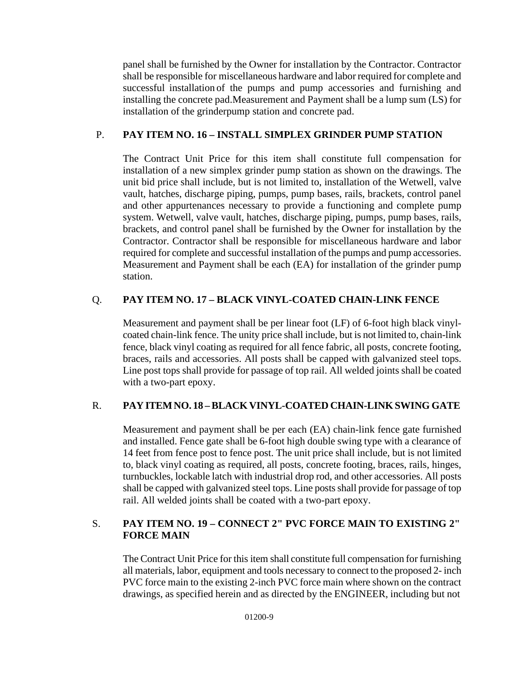panel shall be furnished by the Owner for installation by the Contractor. Contractor shall be responsible for miscellaneous hardware and labor required for complete and successful installation of the pumps and pump accessories and furnishing and installing the concrete pad.Measurement and Payment shall be a lump sum (LS) for installation of the grinderpump station and concrete pad.

# P. **PAY ITEM NO. 16 – INSTALL SIMPLEX GRINDER PUMP STATION**

The Contract Unit Price for this item shall constitute full compensation for installation of a new simplex grinder pump station as shown on the drawings. The unit bid price shall include, but is not limited to, installation of the Wetwell, valve vault, hatches, discharge piping, pumps, pump bases, rails, brackets, control panel and other appurtenances necessary to provide a functioning and complete pump system. Wetwell, valve vault, hatches, discharge piping, pumps, pump bases, rails, brackets, and control panel shall be furnished by the Owner for installation by the Contractor. Contractor shall be responsible for miscellaneous hardware and labor required for complete and successful installation of the pumps and pump accessories. Measurement and Payment shall be each (EA) for installation of the grinder pump station.

# Q. **PAY ITEM NO. 17 – BLACK VINYL-COATED CHAIN-LINK FENCE**

Measurement and payment shall be per linear foot (LF) of 6-foot high black vinylcoated chain-link fence. The unity price shall include, but is not limited to, chain-link fence, black vinyl coating as required for all fence fabric, all posts, concrete footing, braces, rails and accessories. All posts shall be capped with galvanized steel tops. Line post tops shall provide for passage of top rail. All welded joints shall be coated with a two-part epoxy.

# R. **PAY ITEMNO. 18 –BLACK VINYL-COATED CHAIN-LINK SWING GATE**

Measurement and payment shall be per each (EA) chain-link fence gate furnished and installed. Fence gate shall be 6-foot high double swing type with a clearance of 14 feet from fence post to fence post. The unit price shall include, but is not limited to, black vinyl coating as required, all posts, concrete footing, braces, rails, hinges, turnbuckles, lockable latch with industrial drop rod, and other accessories. All posts shall be capped with galvanized steel tops. Line postsshall provide for passage of top rail. All welded joints shall be coated with a two-part epoxy.

# S. **PAY ITEM NO. 19 – CONNECT 2" PVC FORCE MAIN TO EXISTING 2" FORCE MAIN**

The Contract Unit Price for this item shall constitute full compensation for furnishing all materials, labor, equipment and tools necessary to connect to the proposed 2- inch PVC force main to the existing 2-inch PVC force main where shown on the contract drawings, as specified herein and as directed by the ENGINEER, including but not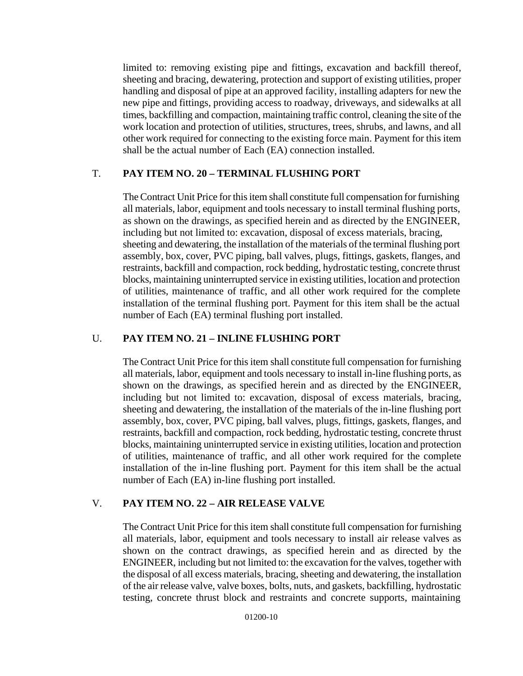limited to: removing existing pipe and fittings, excavation and backfill thereof, sheeting and bracing, dewatering, protection and support of existing utilities, proper handling and disposal of pipe at an approved facility, installing adapters for new the new pipe and fittings, providing access to roadway, driveways, and sidewalks at all times, backfilling and compaction, maintaining traffic control, cleaning the site of the work location and protection of utilities, structures, trees, shrubs, and lawns, and all other work required for connecting to the existing force main. Payment for this item shall be the actual number of Each (EA) connection installed.

# T. **PAY ITEM NO. 20 – TERMINAL FLUSHING PORT**

The Contract Unit Price for this item shall constitute full compensation for furnishing all materials, labor, equipment and tools necessary to install terminal flushing ports, as shown on the drawings, as specified herein and as directed by the ENGINEER, including but not limited to: excavation, disposal of excess materials, bracing, sheeting and dewatering, the installation of the materials of the terminal flushing port assembly, box, cover, PVC piping, ball valves, plugs, fittings, gaskets, flanges, and restraints, backfill and compaction, rock bedding, hydrostatic testing, concrete thrust blocks, maintaining uninterrupted service in existing utilities, location and protection of utilities, maintenance of traffic, and all other work required for the complete installation of the terminal flushing port. Payment for this item shall be the actual number of Each (EA) terminal flushing port installed.

# U. **PAY ITEM NO. 21 – INLINE FLUSHING PORT**

The Contract Unit Price for this item shall constitute full compensation for furnishing all materials, labor, equipment and tools necessary to install in-line flushing ports, as shown on the drawings, as specified herein and as directed by the ENGINEER, including but not limited to: excavation, disposal of excess materials, bracing, sheeting and dewatering, the installation of the materials of the in-line flushing port assembly, box, cover, PVC piping, ball valves, plugs, fittings, gaskets, flanges, and restraints, backfill and compaction, rock bedding, hydrostatic testing, concrete thrust blocks, maintaining uninterrupted service in existing utilities, location and protection of utilities, maintenance of traffic, and all other work required for the complete installation of the in-line flushing port. Payment for this item shall be the actual number of Each (EA) in-line flushing port installed.

# V. **PAY ITEM NO. 22 – AIR RELEASE VALVE**

The Contract Unit Price for this item shall constitute full compensation for furnishing all materials, labor, equipment and tools necessary to install air release valves as shown on the contract drawings, as specified herein and as directed by the ENGINEER, including but not limited to: the excavation for the valves, together with the disposal of all excess materials, bracing, sheeting and dewatering, the installation of the air release valve, valve boxes, bolts, nuts, and gaskets, backfilling, hydrostatic testing, concrete thrust block and restraints and concrete supports, maintaining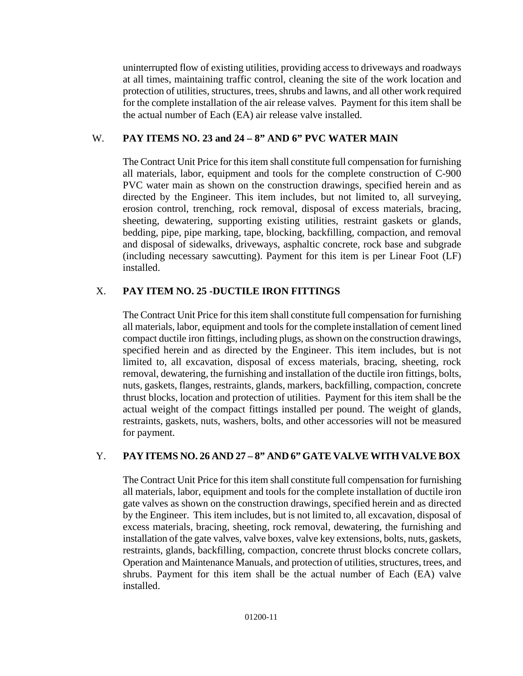uninterrupted flow of existing utilities, providing access to driveways and roadways at all times, maintaining traffic control, cleaning the site of the work location and protection of utilities, structures, trees, shrubs and lawns, and all other work required for the complete installation of the air release valves. Payment for this item shall be the actual number of Each (EA) air release valve installed.

# W. **PAY ITEMS NO. 23 and 24 – 8" AND 6" PVC WATER MAIN**

The Contract Unit Price for this item shall constitute full compensation for furnishing all materials, labor, equipment and tools for the complete construction of C-900 PVC water main as shown on the construction drawings, specified herein and as directed by the Engineer. This item includes, but not limited to, all surveying, erosion control, trenching, rock removal, disposal of excess materials, bracing, sheeting, dewatering, supporting existing utilities, restraint gaskets or glands, bedding, pipe, pipe marking, tape, blocking, backfilling, compaction, and removal and disposal of sidewalks, driveways, asphaltic concrete, rock base and subgrade (including necessary sawcutting). Payment for this item is per Linear Foot (LF) installed.

# X. **PAY ITEM NO. 25 -DUCTILE IRON FITTINGS**

The Contract Unit Price for this item shall constitute full compensation for furnishing all materials, labor, equipment and tools for the complete installation of cement lined compact ductile iron fittings, including plugs, asshown on the construction drawings, specified herein and as directed by the Engineer. This item includes, but is not limited to, all excavation, disposal of excess materials, bracing, sheeting, rock removal, dewatering, the furnishing and installation of the ductile iron fittings, bolts, nuts, gaskets, flanges, restraints, glands, markers, backfilling, compaction, concrete thrust blocks, location and protection of utilities. Payment for this item shall be the actual weight of the compact fittings installed per pound. The weight of glands, restraints, gaskets, nuts, washers, bolts, and other accessories will not be measured for payment.

# Y. **PAY ITEMS NO. 26 AND 27 – 8" AND 6" GATE VALVE WITH VALVEBOX**

The Contract Unit Price for this item shall constitute full compensation for furnishing all materials, labor, equipment and tools for the complete installation of ductile iron gate valves as shown on the construction drawings, specified herein and as directed by the Engineer. This item includes, but is not limited to, all excavation, disposal of excess materials, bracing, sheeting, rock removal, dewatering, the furnishing and installation of the gate valves, valve boxes, valve key extensions, bolts, nuts, gaskets, restraints, glands, backfilling, compaction, concrete thrust blocks concrete collars, Operation and Maintenance Manuals, and protection of utilities, structures, trees, and shrubs. Payment for this item shall be the actual number of Each (EA) valve installed.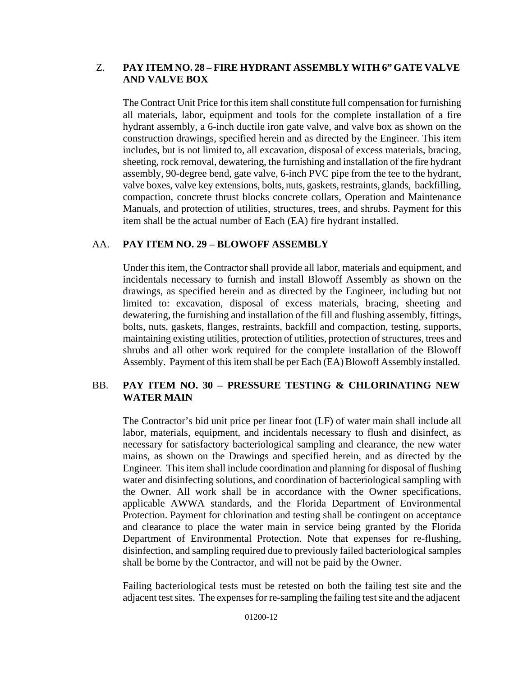### Z. **PAY ITEM NO. 28 – FIRE HYDRANT ASSEMBLY WITH 6"GATE VALVE AND VALVE BOX**

The Contract Unit Price for this item shall constitute full compensation for furnishing all materials, labor, equipment and tools for the complete installation of a fire hydrant assembly, a 6-inch ductile iron gate valve, and valve box as shown on the construction drawings, specified herein and as directed by the Engineer. This item includes, but is not limited to, all excavation, disposal of excess materials, bracing, sheeting, rock removal, dewatering, the furnishing and installation of the fire hydrant assembly, 90-degree bend, gate valve, 6-inch PVC pipe from the tee to the hydrant, valve boxes, valve key extensions, bolts, nuts, gaskets, restraints, glands, backfilling, compaction, concrete thrust blocks concrete collars, Operation and Maintenance Manuals, and protection of utilities, structures, trees, and shrubs. Payment for this item shall be the actual number of Each (EA) fire hydrant installed.

#### AA. **PAY ITEM NO. 29 – BLOWOFF ASSEMBLY**

Under this item, the Contractorshall provide all labor, materials and equipment, and incidentals necessary to furnish and install Blowoff Assembly as shown on the drawings, as specified herein and as directed by the Engineer, including but not limited to: excavation, disposal of excess materials, bracing, sheeting and dewatering, the furnishing and installation of the fill and flushing assembly, fittings, bolts, nuts, gaskets, flanges, restraints, backfill and compaction, testing, supports, maintaining existing utilities, protection of utilities, protection of structures, trees and shrubs and all other work required for the complete installation of the Blowoff Assembly. Payment of this item shall be per Each (EA) Blowoff Assembly installed.

### BB. **PAY ITEM NO. 30 – PRESSURE TESTING & CHLORINATING NEW WATER MAIN**

The Contractor's bid unit price per linear foot (LF) of water main shall include all labor, materials, equipment, and incidentals necessary to flush and disinfect, as necessary for satisfactory bacteriological sampling and clearance, the new water mains, as shown on the Drawings and specified herein, and as directed by the Engineer. Thisitem shall include coordination and planning for disposal of flushing water and disinfecting solutions, and coordination of bacteriological sampling with the Owner. All work shall be in accordance with the Owner specifications, applicable AWWA standards, and the Florida Department of Environmental Protection. Payment for chlorination and testing shall be contingent on acceptance and clearance to place the water main in service being granted by the Florida Department of Environmental Protection. Note that expenses for re-flushing, disinfection, and sampling required due to previously failed bacteriological samples shall be borne by the Contractor, and will not be paid by the Owner.

Failing bacteriological tests must be retested on both the failing test site and the adjacent test sites. The expenses for re-sampling the failing test site and the adjacent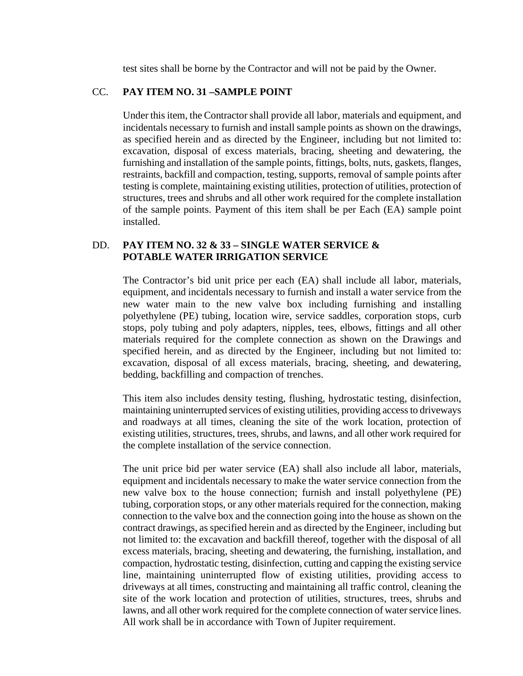test sites shall be borne by the Contractor and will not be paid by the Owner.

#### CC. **PAY ITEM NO. 31 –SAMPLE POINT**

Under this item, the Contractorshall provide all labor, materials and equipment, and incidentals necessary to furnish and install sample points as shown on the drawings, as specified herein and as directed by the Engineer, including but not limited to: excavation, disposal of excess materials, bracing, sheeting and dewatering, the furnishing and installation of the sample points, fittings, bolts, nuts, gaskets, flanges, restraints, backfill and compaction, testing, supports, removal of sample points after testing is complete, maintaining existing utilities, protection of utilities, protection of structures, trees and shrubs and all other work required for the complete installation of the sample points. Payment of this item shall be per Each (EA) sample point installed.

#### DD. **PAY ITEM NO. 32 & 33 – SINGLE WATER SERVICE & POTABLE WATER IRRIGATION SERVICE**

The Contractor's bid unit price per each (EA) shall include all labor, materials, equipment, and incidentals necessary to furnish and install a water service from the new water main to the new valve box including furnishing and installing polyethylene (PE) tubing, location wire, service saddles, corporation stops, curb stops, poly tubing and poly adapters, nipples, tees, elbows, fittings and all other materials required for the complete connection as shown on the Drawings and specified herein, and as directed by the Engineer, including but not limited to: excavation, disposal of all excess materials, bracing, sheeting, and dewatering, bedding, backfilling and compaction of trenches.

This item also includes density testing, flushing, hydrostatic testing, disinfection, maintaining uninterrupted services of existing utilities, providing accessto driveways and roadways at all times, cleaning the site of the work location, protection of existing utilities, structures, trees, shrubs, and lawns, and all other work required for the complete installation of the service connection.

The unit price bid per water service (EA) shall also include all labor, materials, equipment and incidentals necessary to make the water service connection from the new valve box to the house connection; furnish and install polyethylene (PE) tubing, corporation stops, or any other materials required for the connection, making connection to the valve box and the connection going into the house as shown on the contract drawings, as specified herein and as directed by the Engineer, including but not limited to: the excavation and backfill thereof, together with the disposal of all excess materials, bracing, sheeting and dewatering, the furnishing, installation, and compaction, hydrostatic testing, disinfection, cutting and capping the existing service line, maintaining uninterrupted flow of existing utilities, providing access to driveways at all times, constructing and maintaining all traffic control, cleaning the site of the work location and protection of utilities, structures, trees, shrubs and lawns, and all other work required for the complete connection of water service lines. All work shall be in accordance with Town of Jupiter requirement.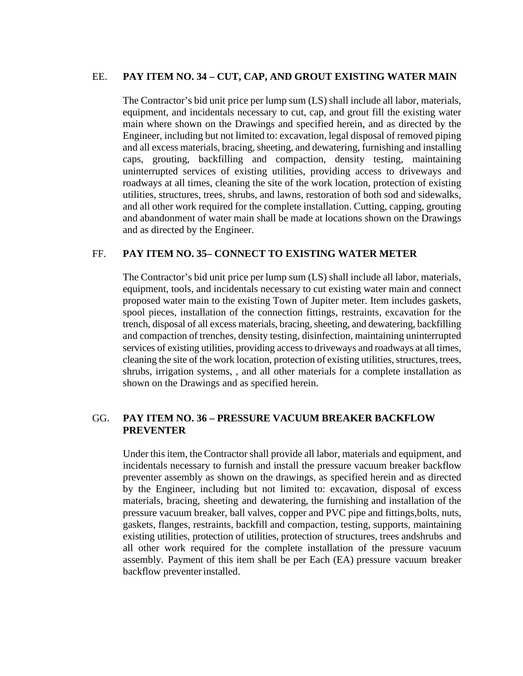#### EE. **PAY ITEM NO. 34 – CUT, CAP, AND GROUT EXISTING WATER MAIN**

The Contractor's bid unit price per lump sum (LS) shall include all labor, materials, equipment, and incidentals necessary to cut, cap, and grout fill the existing water main where shown on the Drawings and specified herein, and as directed by the Engineer, including but not limited to: excavation, legal disposal of removed piping and all excess materials, bracing, sheeting, and dewatering, furnishing and installing caps, grouting, backfilling and compaction, density testing, maintaining uninterrupted services of existing utilities, providing access to driveways and roadways at all times, cleaning the site of the work location, protection of existing utilities, structures, trees, shrubs, and lawns, restoration of both sod and sidewalks, and all other work required for the complete installation. Cutting, capping, grouting and abandonment of water main shall be made at locations shown on the Drawings and as directed by the Engineer.

#### FF. **PAY ITEM NO. 35– CONNECT TO EXISTING WATER METER**

The Contractor's bid unit price per lump sum (LS) shall include all labor, materials, equipment, tools, and incidentals necessary to cut existing water main and connect proposed water main to the existing Town of Jupiter meter. Item includes gaskets, spool pieces, installation of the connection fittings, restraints, excavation for the trench, disposal of all excess materials, bracing, sheeting, and dewatering, backfilling and compaction of trenches, density testing, disinfection, maintaining uninterrupted services of existing utilities, providing accessto driveways and roadways at all times, cleaning the site of the work location, protection of existing utilities, structures, trees, shrubs, irrigation systems, , and all other materials for a complete installation as shown on the Drawings and as specified herein.

### GG. **PAY ITEM NO. 36 – PRESSURE VACUUM BREAKER BACKFLOW PREVENTER**

Under this item, the Contractor shall provide all labor, materials and equipment, and incidentals necessary to furnish and install the pressure vacuum breaker backflow preventer assembly as shown on the drawings, as specified herein and as directed by the Engineer, including but not limited to: excavation, disposal of excess materials, bracing, sheeting and dewatering, the furnishing and installation of the pressure vacuum breaker, ball valves, copper and PVC pipe and fittings,bolts, nuts, gaskets, flanges, restraints, backfill and compaction, testing, supports, maintaining existing utilities, protection of utilities, protection of structures, trees andshrubs and all other work required for the complete installation of the pressure vacuum assembly. Payment of this item shall be per Each (EA) pressure vacuum breaker backflow preventer installed.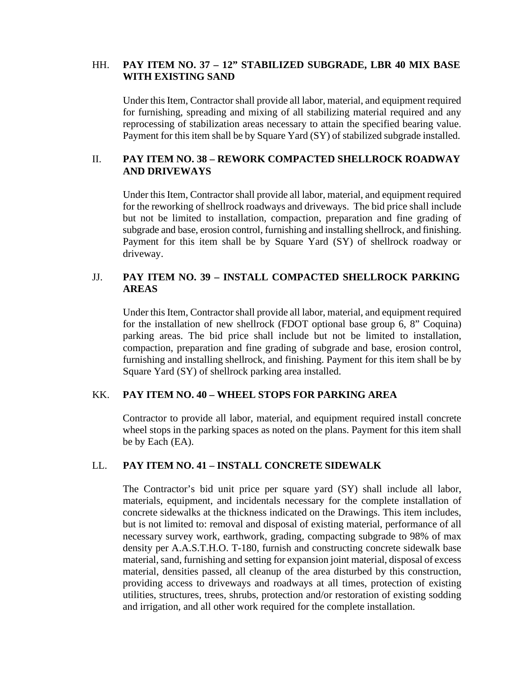#### HH. **PAY ITEM NO. 37 – 12" STABILIZED SUBGRADE, LBR 40 MIX BASE WITH EXISTING SAND**

Under this Item, Contractorshall provide all labor, material, and equipment required for furnishing, spreading and mixing of all stabilizing material required and any reprocessing of stabilization areas necessary to attain the specified bearing value. Payment for this item shall be by Square Yard (SY) of stabilized subgrade installed.

### II. **PAY ITEM NO. 38 – REWORK COMPACTED SHELLROCK ROADWAY AND DRIVEWAYS**

Under this Item, Contractor shall provide all labor, material, and equipment required for the reworking of shellrock roadways and driveways. The bid price shall include but not be limited to installation, compaction, preparation and fine grading of subgrade and base, erosion control, furnishing and installing shellrock, and finishing. Payment for this item shall be by Square Yard (SY) of shellrock roadway or driveway.

### JJ. **PAY ITEM NO. 39 – INSTALL COMPACTED SHELLROCK PARKING AREAS**

Under this Item, Contractor shall provide all labor, material, and equipment required for the installation of new shellrock (FDOT optional base group 6, 8" Coquina) parking areas. The bid price shall include but not be limited to installation, compaction, preparation and fine grading of subgrade and base, erosion control, furnishing and installing shellrock, and finishing. Payment for this item shall be by Square Yard (SY) of shellrock parking area installed.

#### KK. **PAY ITEM NO. 40 – WHEEL STOPS FOR PARKING AREA**

Contractor to provide all labor, material, and equipment required install concrete wheel stops in the parking spaces as noted on the plans. Payment for this item shall be by Each (EA).

#### LL. **PAY ITEM NO. 41 – INSTALL CONCRETE SIDEWALK**

The Contractor's bid unit price per square yard (SY) shall include all labor, materials, equipment, and incidentals necessary for the complete installation of concrete sidewalks at the thickness indicated on the Drawings. This item includes, but is not limited to: removal and disposal of existing material, performance of all necessary survey work, earthwork, grading, compacting subgrade to 98% of max density per A.A.S.T.H.O. T-180, furnish and constructing concrete sidewalk base material, sand, furnishing and setting for expansion joint material, disposal of excess material, densities passed, all cleanup of the area disturbed by this construction, providing access to driveways and roadways at all times, protection of existing utilities, structures, trees, shrubs, protection and/or restoration of existing sodding and irrigation, and all other work required for the complete installation.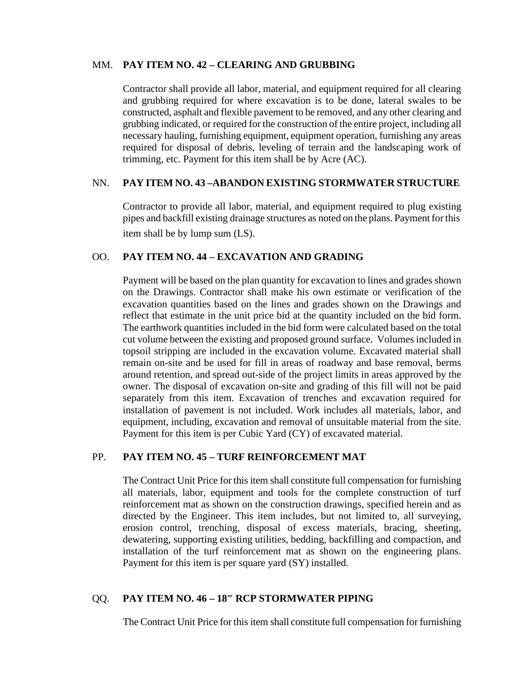#### MM. **PAY ITEM NO. 42 – CLEARING AND GRUBBING**

Contractor shall provide all labor, material, and equipment required for all clearing and grubbing required for where excavation is to be done, lateral swales to be constructed, asphalt and flexible pavement to be removed, and any other clearing and grubbing indicated, or required for the construction of the entire project, including all necessary hauling, furnishing equipment, equipment operation, furnishing any areas required for disposal of debris, leveling of terrain and the landscaping work of trimming, etc. Payment for this item shall be by Acre (AC).

#### NN. **PAY ITEM NO. 43 –ABANDON EXISTING STORMWATER STRUCTURE**

Contractor to provide all labor, material, and equipment required to plug existing pipes and backfill existing drainage structures as noted on the plans. Payment for this item shall be by lump sum (LS).

#### OO. **PAY ITEM NO. 44 – EXCAVATION AND GRADING**

Payment will be based on the plan quantity for excavation to lines and grades shown on the Drawings. Contractor shall make his own estimate or verification of the excavation quantities based on the lines and grades shown on the Drawings and reflect that estimate in the unit price bid at the quantity included on the bid form. The earthwork quantities included in the bid form were calculated based on the total cut volume between the existing and proposed ground surface. Volumes included in topsoil stripping are included in the excavation volume. Excavated material shall remain on-site and be used for fill in areas of roadway and base removal, berms around retention, and spread out-side of the project limits in areas approved by the owner. The disposal of excavation on-site and grading of this fill will not be paid separately from this item. Excavation of trenches and excavation required for installation of pavement is not included. Work includes all materials, labor, and equipment, including, excavation and removal of unsuitable material from the site. Payment for this item is per Cubic Yard (CY) of excavated material.

#### PP. **PAY ITEM NO. 45 – TURF REINFORCEMENT MAT**

The Contract Unit Price for this item shall constitute full compensation for furnishing all materials, labor, equipment and tools for the complete construction of turf reinforcement mat as shown on the construction drawings, specified herein and as directed by the Engineer. This item includes, but not limited to, all surveying, erosion control, trenching, disposal of excess materials, bracing, sheeting, dewatering, supporting existing utilities, bedding, backfilling and compaction, and installation of the turf reinforcement mat as shown on the engineering plans. Payment for this item is per square yard (SY) installed.

### QQ. **PAY ITEM NO. 46 – 18" RCP STORMWATER PIPING**

The Contract Unit Price for this item shall constitute full compensation for furnishing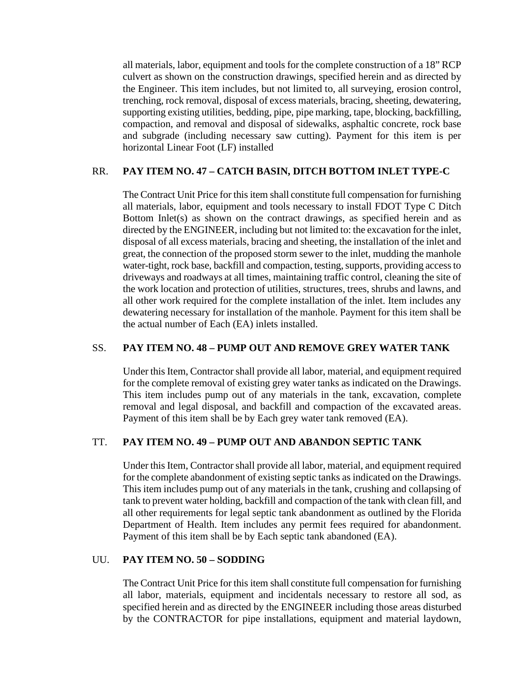all materials, labor, equipment and tools for the complete construction of a 18" RCP culvert as shown on the construction drawings, specified herein and as directed by the Engineer. This item includes, but not limited to, all surveying, erosion control, trenching, rock removal, disposal of excess materials, bracing, sheeting, dewatering, supporting existing utilities, bedding, pipe, pipe marking, tape, blocking, backfilling, compaction, and removal and disposal of sidewalks, asphaltic concrete, rock base and subgrade (including necessary saw cutting). Payment for this item is per horizontal Linear Foot (LF) installed

### RR. **PAY ITEM NO. 47 – CATCH BASIN, DITCH BOTTOM INLET TYPE-C**

The Contract Unit Price for this item shall constitute full compensation for furnishing all materials, labor, equipment and tools necessary to install FDOT Type C Ditch Bottom Inlet(s) as shown on the contract drawings, as specified herein and as directed by the ENGINEER, including but not limited to: the excavation for the inlet, disposal of all excess materials, bracing and sheeting, the installation of the inlet and great, the connection of the proposed storm sewer to the inlet, mudding the manhole water-tight, rock base, backfill and compaction, testing, supports, providing access to driveways and roadways at all times, maintaining traffic control, cleaning the site of the work location and protection of utilities, structures, trees, shrubs and lawns, and all other work required for the complete installation of the inlet. Item includes any dewatering necessary for installation of the manhole. Payment for this item shall be the actual number of Each (EA) inlets installed.

### SS. **PAY ITEM NO. 48 – PUMP OUT AND REMOVE GREY WATER TANK**

Under this Item, Contractor shall provide all labor, material, and equipment required for the complete removal of existing grey water tanks as indicated on the Drawings. This item includes pump out of any materials in the tank, excavation, complete removal and legal disposal, and backfill and compaction of the excavated areas. Payment of this item shall be by Each grey water tank removed (EA).

### TT. **PAY ITEM NO. 49 – PUMP OUT AND ABANDON SEPTIC TANK**

Under this Item, Contractorshall provide all labor, material, and equipment required for the complete abandonment of existing septic tanks as indicated on the Drawings. This item includes pump out of any materials in the tank, crushing and collapsing of tank to prevent water holding, backfill and compaction of the tank with clean fill, and all other requirements for legal septic tank abandonment as outlined by the Florida Department of Health. Item includes any permit fees required for abandonment. Payment of this item shall be by Each septic tank abandoned (EA).

#### UU. **PAY ITEM NO. 50 – SODDING**

The Contract Unit Price for this item shall constitute full compensation for furnishing all labor, materials, equipment and incidentals necessary to restore all sod, as specified herein and as directed by the ENGINEER including those areas disturbed by the CONTRACTOR for pipe installations, equipment and material laydown,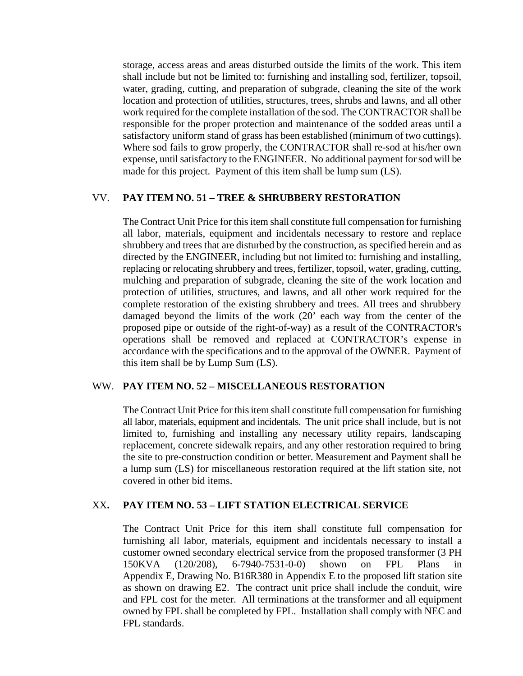storage, access areas and areas disturbed outside the limits of the work. This item shall include but not be limited to: furnishing and installing sod, fertilizer, topsoil, water, grading, cutting, and preparation of subgrade, cleaning the site of the work location and protection of utilities, structures, trees, shrubs and lawns, and all other work required for the complete installation of the sod. The CONTRACTOR shall be responsible for the proper protection and maintenance of the sodded areas until a satisfactory uniform stand of grass has been established (minimum of two cuttings). Where sod fails to grow properly, the CONTRACTOR shall re-sod at his/her own expense, untilsatisfactory to the ENGINEER. No additional payment forsod will be made for this project. Payment of this item shall be lump sum (LS).

#### VV. **PAY ITEM NO. 51 – TREE & SHRUBBERY RESTORATION**

The Contract Unit Price for this item shall constitute full compensation for furnishing all labor, materials, equipment and incidentals necessary to restore and replace shrubbery and trees that are disturbed by the construction, as specified herein and as directed by the ENGINEER, including but not limited to: furnishing and installing, replacing or relocating shrubbery and trees, fertilizer, topsoil, water, grading, cutting, mulching and preparation of subgrade, cleaning the site of the work location and protection of utilities, structures, and lawns, and all other work required for the complete restoration of the existing shrubbery and trees. All trees and shrubbery damaged beyond the limits of the work (20' each way from the center of the proposed pipe or outside of the right-of-way) as a result of the CONTRACTOR's operations shall be removed and replaced at CONTRACTOR's expense in accordance with the specifications and to the approval of the OWNER. Payment of this item shall be by Lump Sum (LS).

#### WW. **PAY ITEM NO. 52 – MISCELLANEOUS RESTORATION**

The Contract Unit Price for this item shall constitute full compensation for furnishing all labor, materials, equipment and incidentals. The unit price shall include, but is not limited to, furnishing and installing any necessary utility repairs, landscaping replacement, concrete sidewalk repairs, and any other restoration required to bring the site to pre-construction condition or better. Measurement and Payment shall be a lump sum (LS) for miscellaneous restoration required at the lift station site, not covered in other bid items.

#### XX**. PAY ITEM NO. 53 – LIFT STATION ELECTRICAL SERVICE**

The Contract Unit Price for this item shall constitute full compensation for furnishing all labor, materials, equipment and incidentals necessary to install a customer owned secondary electrical service from the proposed transformer (3 PH 150KVA (120/208), 6-7940-7531-0-0) shown on FPL Plans in Appendix E, Drawing No. B16R380 in Appendix E to the proposed lift station site as shown on drawing E2. The contract unit price shall include the conduit, wire and FPL cost for the meter. All terminations at the transformer and all equipment owned by FPL shall be completed by FPL. Installation shall comply with NEC and FPL standards.